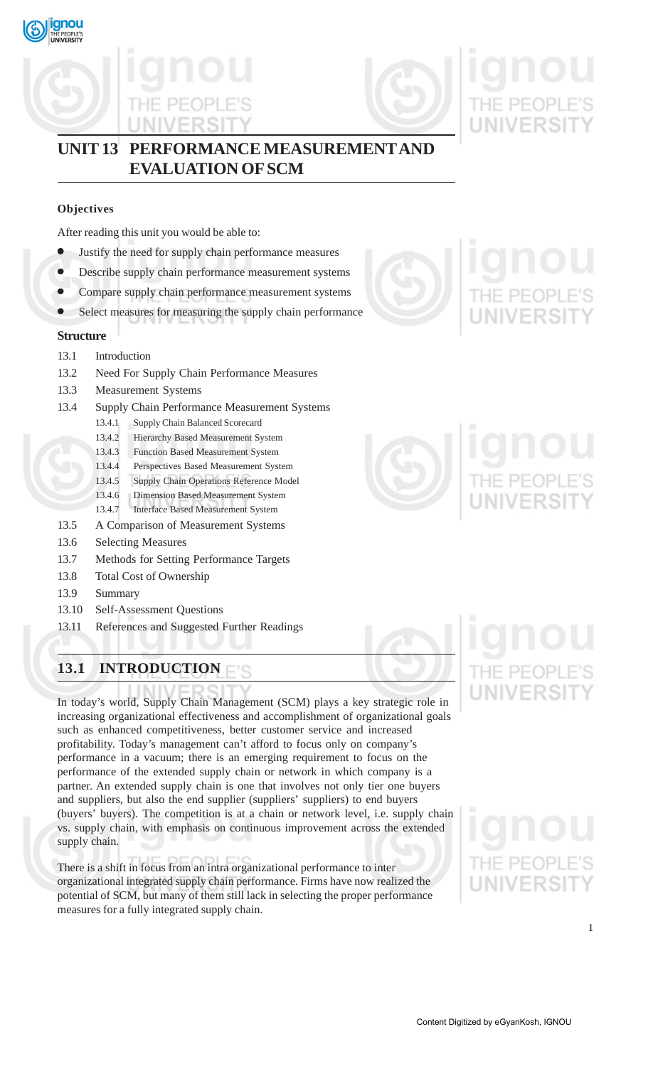





## **UNIT 13 PERFORMANCE MEASUREMENT AND EVALUATION OF SCM**

### **Objectives**

After reading this unit you would be able to:

- Justify the need for supply chain performance measures
- Describe supply chain performance measurement systems
- Compare supply chain performance measurement systems
- Select measures for measuring the supply chain performance

### **Structure**

- 13.1 Introduction
- 13.2 Need For Supply Chain Performance Measures
- 13.3 Measurement Systems
- 13.4 Supply Chain Performance Measurement Systems
	- 13.4.1 Supply Chain Balanced Scorecard
		- 13.4.2 Hierarchy Based Measurement System
		- 13.4.3 Function Based Measurement System
		- 13.4.4 Perspectives Based Measurement System
		- 13.4.5 Supply Chain Operations Reference Model
		- 13.4.6 Dimension Based Measurement System
	- 13.4.7 Interface Based Measurement System
- 13.5 A Comparison of Measurement Systems
- 13.6 Selecting Measures
- 13.7 Methods for Setting Performance Targets
- 13.8 Total Cost of Ownership
- 13.9 Summary
- 13.10 Self-Assessment Questions
- 13.11 References and Suggested Further Readings

## **13.1 INTRODUCTION**

In today's world, Supply Chain Management (SCM) plays a key strategic role in increasing organizational effectiveness and accomplishment of organizational goals such as enhanced competitiveness, better customer service and increased profitability. Today's management can't afford to focus only on company's performance in a vacuum; there is an emerging requirement to focus on the performance of the extended supply chain or network in which company is a partner. An extended supply chain is one that involves not only tier one buyers and suppliers, but also the end supplier (suppliers' suppliers) to end buyers (buyers' buyers). The competition is at a chain or network level, i.e. supply chain vs. supply chain, with emphasis on continuous improvement across the extended supply chain.

There is a shift in focus from an intra organizational performance to inter organizational integrated supply chain performance. Firms have now realized the potential of SCM, but many of them still lack in selecting the proper performance measures for a fully integrated supply chain.





# **UNIVERSIT**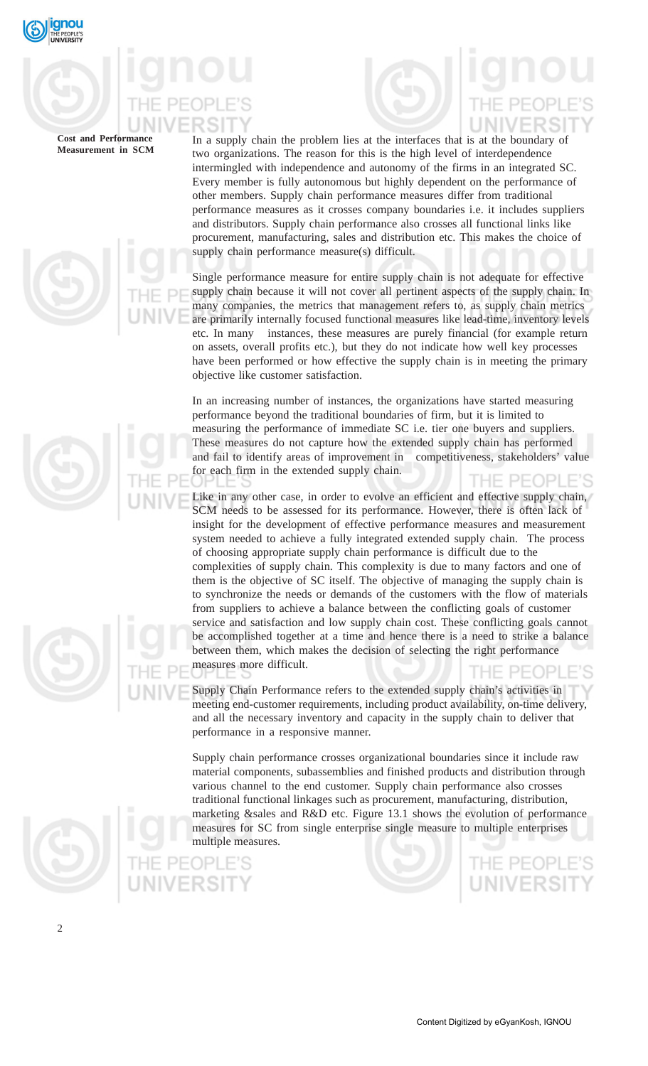

In a supply chain the problem lies at the interfaces that is at the boundary of two organizations. The reason for this is the high level of interdependence intermingled with independence and autonomy of the firms in an integrated SC. Every member is fully autonomous but highly dependent on the performance of other members. Supply chain performance measures differ from traditional performance measures as it crosses company boundaries i.e. it includes suppliers and distributors. Supply chain performance also crosses all functional links like procurement, manufacturing, sales and distribution etc. This makes the choice of supply chain performance measure(s) difficult.

Single performance measure for entire supply chain is not adequate for effective supply chain because it will not cover all pertinent aspects of the supply chain. In many companies, the metrics that management refers to, as supply chain metrics are primarily internally focused functional measures like lead-time, inventory levels etc. In many instances, these measures are purely financial (for example return on assets, overall profits etc.), but they do not indicate how well key processes have been performed or how effective the supply chain is in meeting the primary objective like customer satisfaction.

In an increasing number of instances, the organizations have started measuring performance beyond the traditional boundaries of firm, but it is limited to measuring the performance of immediate SC i.e. tier one buyers and suppliers. These measures do not capture how the extended supply chain has performed and fail to identify areas of improvement in competitiveness, stakeholders' value for each firm in the extended supply chain. THE PEOPLE'S

Like in any other case, in order to evolve an efficient and effective supply chain, SCM needs to be assessed for its performance. However, there is often lack of insight for the development of effective performance measures and measurement system needed to achieve a fully integrated extended supply chain. The process of choosing appropriate supply chain performance is difficult due to the complexities of supply chain. This complexity is due to many factors and one of them is the objective of SC itself. The objective of managing the supply chain is to synchronize the needs or demands of the customers with the flow of materials from suppliers to achieve a balance between the conflicting goals of customer service and satisfaction and low supply chain cost. These conflicting goals cannot be accomplished together at a time and hence there is a need to strike a balance between them, which makes the decision of selecting the right performance measures more difficult. THE PEOPL

Supply Chain Performance refers to the extended supply chain's activities in meeting end-customer requirements, including product availability, on-time delivery, and all the necessary inventory and capacity in the supply chain to deliver that performance in a responsive manner.

Supply chain performance crosses organizational boundaries since it include raw material components, subassemblies and finished products and distribution through various channel to the end customer. Supply chain performance also crosses traditional functional linkages such as procurement, manufacturing, distribution, marketing &sales and R&D etc. Figure 13.1 shows the evolution of performance measures for SC from single enterprise single measure to multiple enterprises multiple measures.



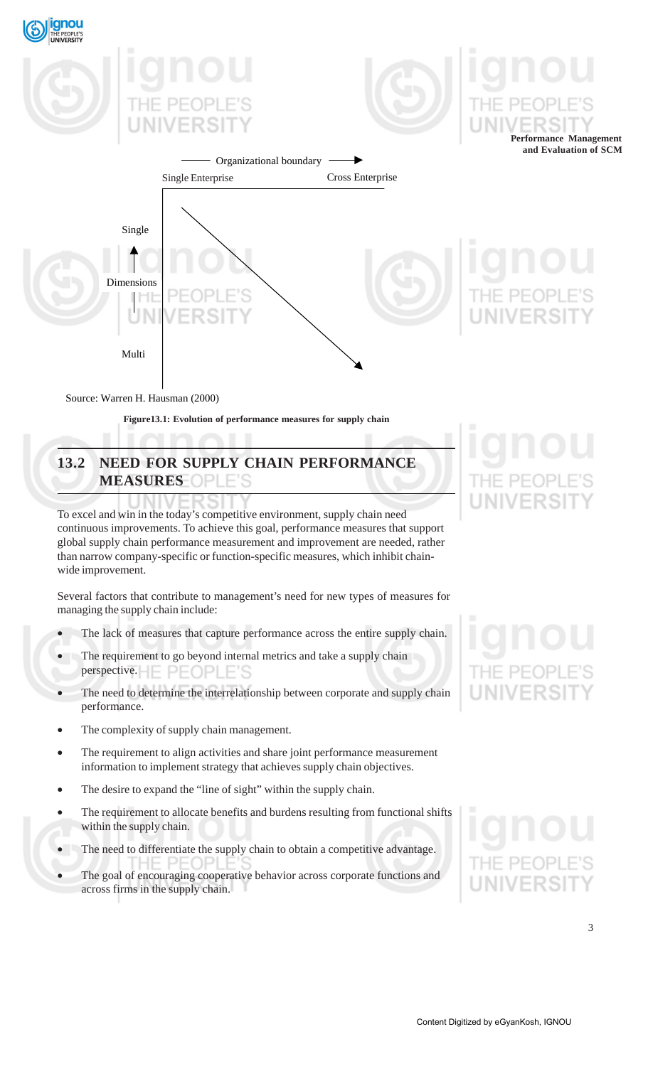

Source: Warren H. Hausman (2000)

**Figure13.1: Evolution of performance measures for supply chain**

## **13.2 NEED FOR SUPPLY CHAIN PERFORMANCE MEASURES**

To excel and win in the today's competitive environment, supply chain need continuous improvements. To achieve this goal, performance measures that support global supply chain performance measurement and improvement are needed, rather than narrow company-specific or function-specific measures, which inhibit chainwide improvement.

Several factors that contribute to management's need for new types of measures for managing the supply chain include:

- The lack of measures that capture performance across the entire supply chain.
- The requirement to go beyond internal metrics and take a supply chain perspective.
- The need to determine the interrelationship between corporate and supply chain performance.
- The complexity of supply chain management.
- The requirement to align activities and share joint performance measurement information to implement strategy that achieves supply chain objectives.
- The desire to expand the "line of sight" within the supply chain.
- The requirement to allocate benefits and burdens resulting from functional shifts within the supply chain.
- The need to differentiate the supply chain to obtain a competitive advantage.
- The goal of encouraging cooperative behavior across corporate functions and across firms in the supply chain.

## NIVERSI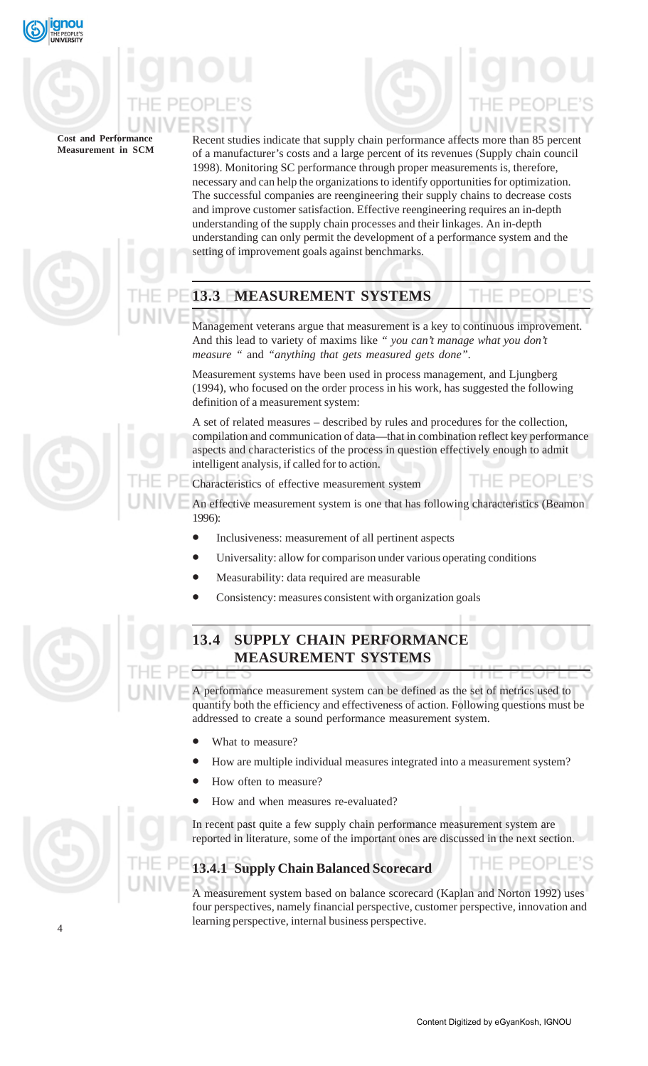

Recent studies indicate that supply chain performance affects more than 85 percent of a manufacturer's costs and a large percent of its revenues (Supply chain council 1998). Monitoring SC performance through proper measurements is, therefore, necessary and can help the organizations to identify opportunities for optimization. The successful companies are reengineering their supply chains to decrease costs and improve customer satisfaction. Effective reengineering requires an in-depth understanding of the supply chain processes and their linkages. An in-depth understanding can only permit the development of a performance system and the setting of improvement goals against benchmarks.

## **13.3 MEASUREMENT SYSTEMS**

Management veterans argue that measurement is a key to continuous improvement. And this lead to variety of maxims like *" you can't manage what you don't measure "* and *"anything that gets measured gets done".*

Measurement systems have been used in process management, and Ljungberg (1994), who focused on the order process in his work, has suggested the following definition of a measurement system:

A set of related measures – described by rules and procedures for the collection, compilation and communication of data—that in combination reflect key performance aspects and characteristics of the process in question effectively enough to admit intelligent analysis, if called for to action.

Characteristics of effective measurement system

An effective measurement system is one that has following characteristics (Beamon 1996):

- Inclusiveness: measurement of all pertinent aspects
- Universality: allow for comparison under various operating conditions
- Measurability: data required are measurable
- Consistency: measures consistent with organization goals



4

## **13.4 SUPPLY CHAIN PERFORMANCE MEASUREMENT SYSTEMS**

A performance measurement system can be defined as the set of metrics used to quantify both the efficiency and effectiveness of action. Following questions must be addressed to create a sound performance measurement system.

- What to measure?
- How are multiple individual measures integrated into a measurement system?
- How often to measure?
- How and when measures re-evaluated?

In recent past quite a few supply chain performance measurement system are reported in literature, some of the important ones are discussed in the next section.

### **13.4.1 Supply Chain Balanced Scorecard**

A measurement system based on balance scorecard (Kaplan and Norton 1992) uses four perspectives, namely financial perspective, customer perspective, innovation and learning perspective, internal business perspective.

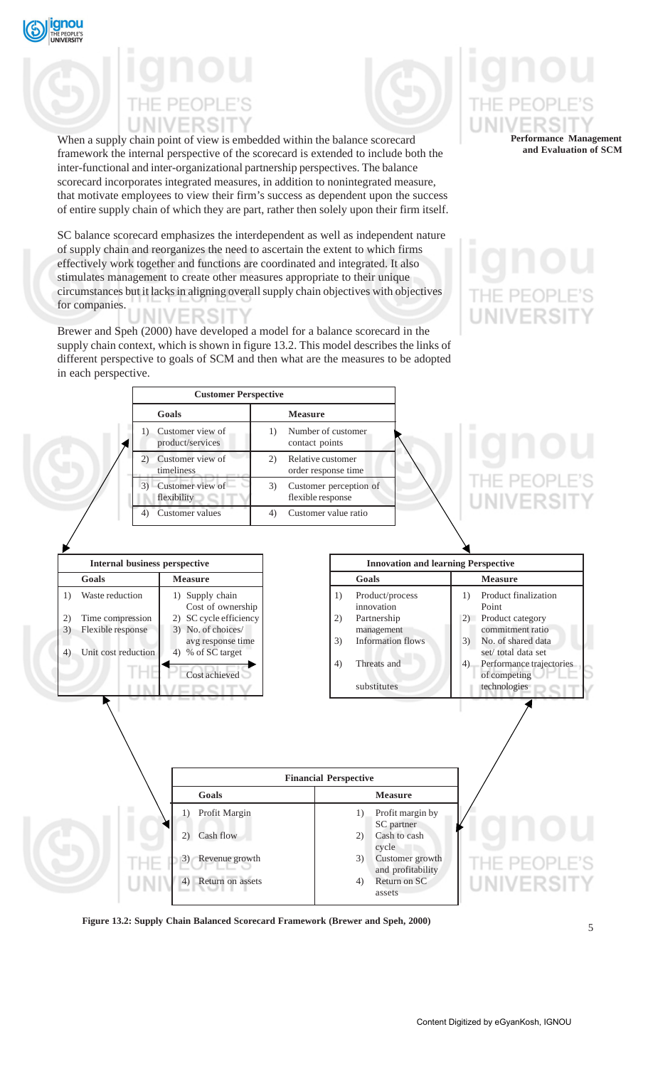

## **NIVERSI**

When a supply chain point of view is embedded within the balance scorecard framework the internal perspective of the scorecard is extended to include both the inter-functional and inter-organizational partnership perspectives. The balance scorecard incorporates integrated measures, in addition to nonintegrated measure, that motivate employees to view their firm's success as dependent upon the success of entire supply chain of which they are part, rather then solely upon their firm itself.

SC balance scorecard emphasizes the interdependent as well as independent nature of supply chain and reorganizes the need to ascertain the extent to which firms effectively work together and functions are coordinated and integrated. It also stimulates management to create other measures appropriate to their unique circumstances but it lacks in aligning overall supply chain objectives with objectives for companies.

Brewer and Speh (2000) have developed a model for a balance scorecard in the supply chain context, which is shown in figure 13.2. This model describes the links of different perspective to goals of SCM and then what are the measures to be adopted in each perspective.

**Performance Management and Evaluation of SCM**

## HE PEOP **UNIVERSI**



**Figure 13.2: Supply Chain Balanced Scorecard Framework (Brewer and Speh, 2000)**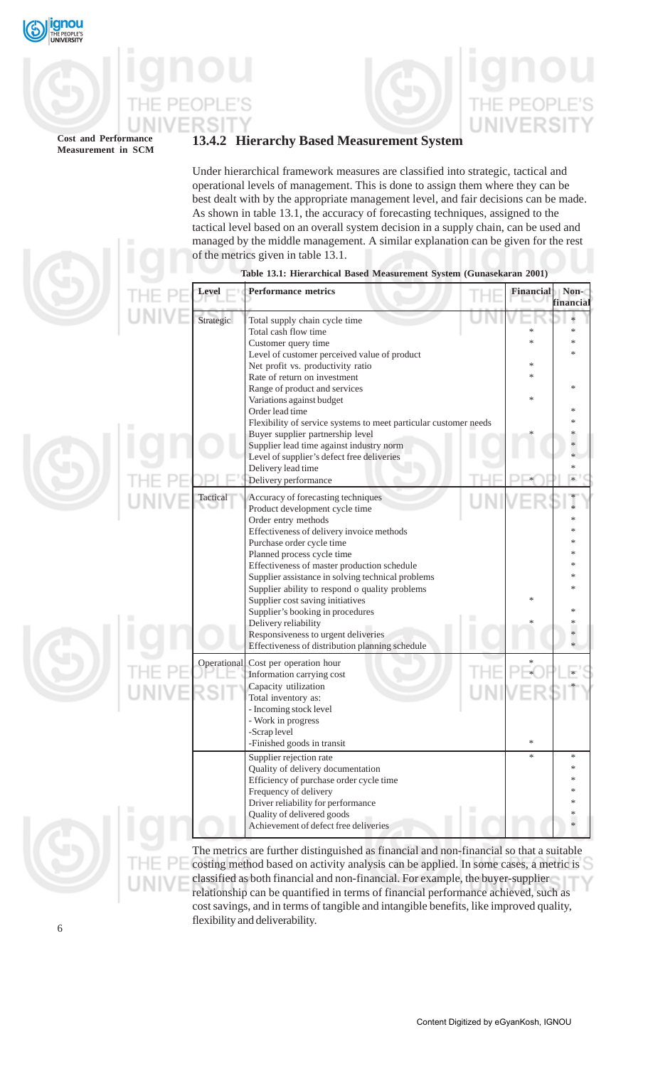

**Cost and Performance**

## **13.4.2 Hierarchy Based Measurement System**

Under hierarchical framework measures are classified into strategic, tactical and operational levels of management. This is done to assign them where they can be best dealt with by the appropriate management level, and fair decisions can be made. As shown in table 13.1, the accuracy of forecasting techniques, assigned to the tactical level based on an overall system decision in a supply chain, can be used and managed by the middle management. A similar explanation can be given for the rest of the metrics given in table 13.1.

|  | Level       | <b>Performance metrics</b>                                                                                                                                                                                                                                                                                                                                                                                                                                                                                                                          |   | Financial                  | Non-<br>financial     |
|--|-------------|-----------------------------------------------------------------------------------------------------------------------------------------------------------------------------------------------------------------------------------------------------------------------------------------------------------------------------------------------------------------------------------------------------------------------------------------------------------------------------------------------------------------------------------------------------|---|----------------------------|-----------------------|
|  | Strategic   | Total supply chain cycle time<br>Total cash flow time<br>Customer query time<br>Level of customer perceived value of product<br>Net profit vs. productivity ratio<br>Rate of return on investment<br>Range of product and services<br>Variations against budget<br>Order lead time<br>Flexibility of service systems to meet particular customer needs<br>Buyer supplier partnership level<br>Supplier lead time against industry norm<br>Level of supplier's defect free deliveries<br>Delivery lead time<br>Delivery performance                  |   | *<br>*<br>$\ast$<br>*<br>* | ∗<br>*<br>$\ast$<br>* |
|  | Tactical    | Accuracy of forecasting techniques<br>Product development cycle time<br>Order entry methods<br>Effectiveness of delivery invoice methods<br>Purchase order cycle time<br>Planned process cycle time<br>Effectiveness of master production schedule<br>Supplier assistance in solving technical problems<br>Supplier ability to respond o quality problems<br>Supplier cost saving initiatives<br>Supplier's booking in procedures<br>Delivery reliability<br>Responsiveness to urgent deliveries<br>Effectiveness of distribution planning schedule |   | *                          |                       |
|  | Operational | Cost per operation hour<br>Information carrying cost<br>Capacity utilization<br>Total inventory as:<br>- Incoming stock level<br>- Work in progress<br>-Scrap level<br>-Finished goods in transit                                                                                                                                                                                                                                                                                                                                                   |   | *                          |                       |
|  |             | Supplier rejection rate<br>Quality of delivery documentation<br>Efficiency of purchase order cycle time<br>Frequency of delivery<br>Driver reliability for performance<br>Quality of delivered goods<br>Achievement of defect free deliveries<br>The metrics are further distinguished as financial and non-financial so that a suitable                                                                                                                                                                                                            | ■ | *                          | *                     |

### **Table 13.1: Hierarchical Based Measurement System (Gunasekaran 2001)**

further distinguished as financial and non-financial so that a surface costing method based on activity analysis can be applied. In some cases, a metric is classified as both financial and non-financial. For example, the buyer-supplier relationship can be quantified in terms of financial performance achieved, such as cost savings, and in terms of tangible and intangible benefits, like improved quality, flexibility and deliverability.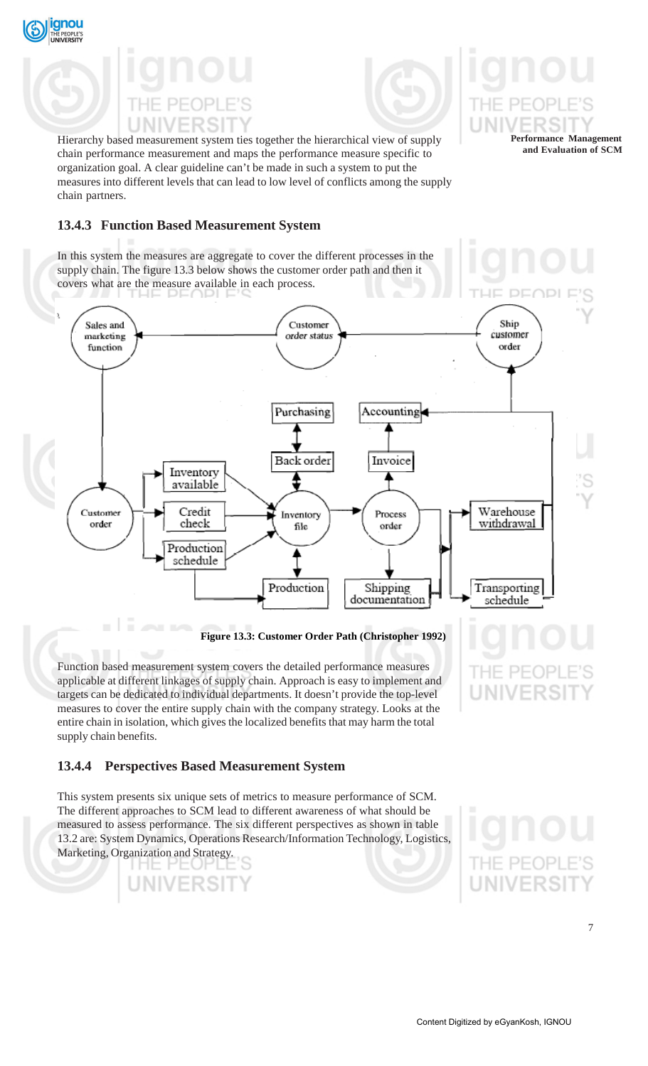

ignou



**Performance Management and Evaluation of SCM**

Hierarchy based measurement system ties together the hierarchical view of supply chain performance measurement and maps the performance measure specific to organization goal. A clear guideline can't be made in such a system to put the measures into different levels that can lead to low level of conflicts among the supply chain partners.

### **13.4.3 Function Based Measurement System**

In this system the measures are aggregate to cover the different processes in the supply chain. The figure 13.3 below shows the customer order path and then it covers what are the measure available in each process.



**Figure 13.3: Customer Order Path (Christopher 1992)**

Function based measurement system covers the detailed performance measures applicable at different linkages of supply chain. Approach is easy to implement and targets can be dedicated to individual departments. It doesn't provide the top-level measures to cover the entire supply chain with the company strategy. Looks at the entire chain in isolation, which gives the localized benefits that may harm the total supply chain benefits.

### **13.4.4 Perspectives Based Measurement System**

This system presents six unique sets of metrics to measure performance of SCM. The different approaches to SCM lead to different awareness of what should be measured to assess performance. The six different perspectives as shown in table 13.2 are: System Dynamics, Operations Research/Information Technology, Logistics, Marketing, Organization and Strategy.



**JNIVER**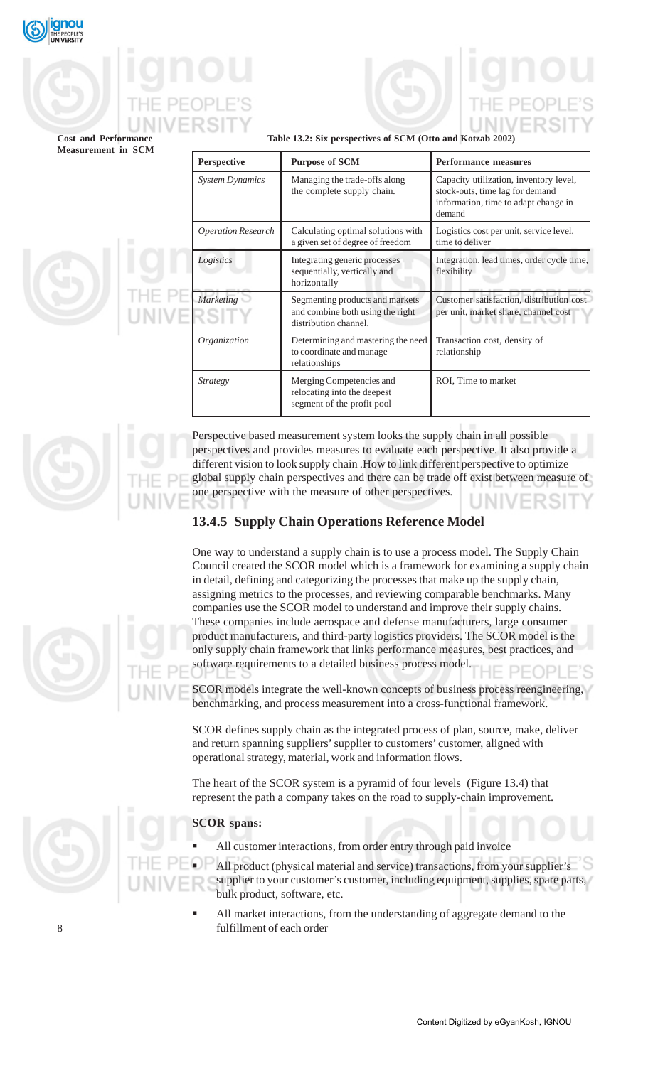

### **Table 13.2: Six perspectives of SCM (Otto and Kotzab 2002)**

|  | <b>Perspective</b>        | <b>Purpose of SCM</b>                                                                        | <b>Performance measures</b>                                                                                                 |  |
|--|---------------------------|----------------------------------------------------------------------------------------------|-----------------------------------------------------------------------------------------------------------------------------|--|
|  | <b>System Dynamics</b>    | Managing the trade-offs along<br>the complete supply chain.                                  | Capacity utilization, inventory level,<br>stock-outs, time lag for demand<br>information, time to adapt change in<br>demand |  |
|  | <b>Operation Research</b> | Calculating optimal solutions with<br>a given set of degree of freedom                       | Logistics cost per unit, service level,<br>time to deliver                                                                  |  |
|  | Logistics                 | Integrating generic processes<br>sequentially, vertically and<br>horizontally                | Integration, lead times, order cycle time,<br>flexibility                                                                   |  |
|  | Marketing                 | Segmenting products and markets<br>and combine both using the right<br>distribution channel. | Customer satisfaction, distribution cost<br>per unit, market share, channel cost                                            |  |
|  | Organization              | Determining and mastering the need<br>to coordinate and manage<br>relationships              | Transaction cost, density of<br>relationship                                                                                |  |
|  | <i>Strategy</i>           | Merging Competencies and<br>relocating into the deepest<br>segment of the profit pool        | ROI, Time to market                                                                                                         |  |

Perspective based measurement system looks the supply chain in all possible perspectives and provides measures to evaluate each perspective. It also provide a different vision to look supply chain .How to link different perspective to optimize global supply chain perspectives and there can be trade off exist between measure of one perspective with the measure of other perspectives. JNIVF

## **13.4.5 Supply Chain Operations Reference Model**

One way to understand a supply chain is to use a process model. The Supply Chain Council created the SCOR model which is a framework for examining a supply chain in detail, defining and categorizing the processes that make up the supply chain, assigning metrics to the processes, and reviewing comparable benchmarks. Many companies use the SCOR model to understand and improve their supply chains. These companies include aerospace and defense manufacturers, large consumer product manufacturers, and third-party logistics providers. The SCOR model is the only supply chain framework that links performance measures, best practices, and software requirements to a detailed business process model.

SCOR models integrate the well-known concepts of business process reengineering, benchmarking, and process measurement into a cross-functional framework.

SCOR defines supply chain as the integrated process of plan, source, make, deliver and return spanning suppliers' supplier to customers' customer, aligned with operational strategy, material, work and information flows.

The heart of the SCOR system is a pyramid of four levels (Figure 13.4) that represent the path a company takes on the road to supply-chain improvement.

### **SCOR spans:**

All customer interactions, from order entry through paid invoice

 All product (physical material and service) transactions, from your supplier's supplier to your customer's customer, including equipment, supplies, spare parts, bulk product, software, etc.

 All market interactions, from the understanding of aggregate demand to the fulfillment of each order



8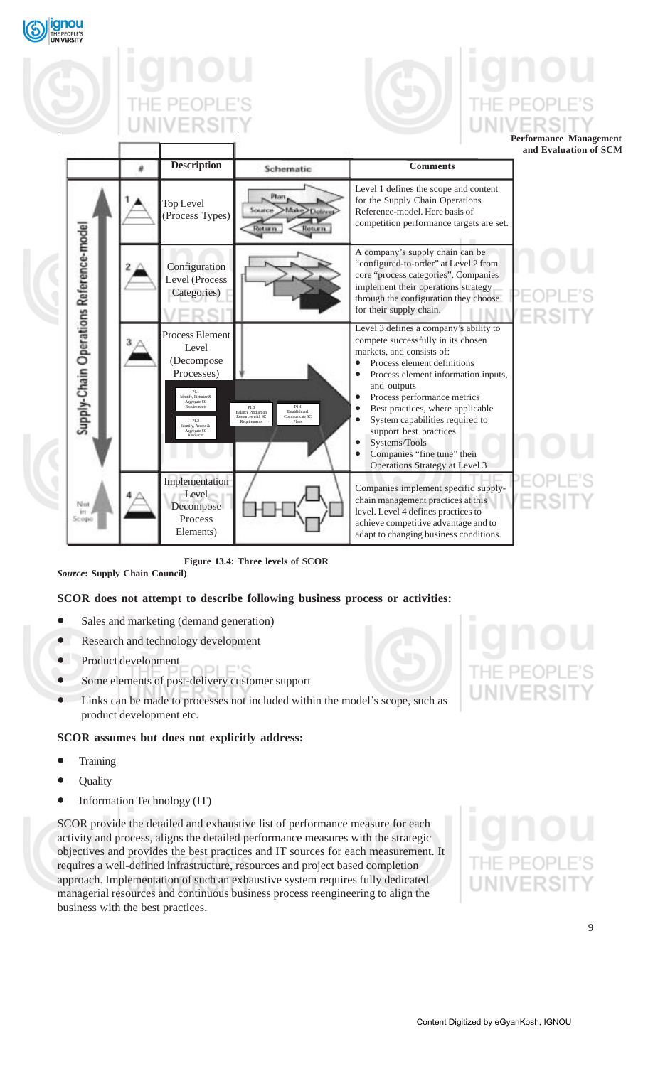



**Performance Management and Evaluation of SCM**

|                                         | <b>Description</b>                                                                                                                                                             | Schematic                                                                                                                  | <b>Comments</b>                                                                                                                                                                                                                                                                                                                                                                                                  |  |
|-----------------------------------------|--------------------------------------------------------------------------------------------------------------------------------------------------------------------------------|----------------------------------------------------------------------------------------------------------------------------|------------------------------------------------------------------------------------------------------------------------------------------------------------------------------------------------------------------------------------------------------------------------------------------------------------------------------------------------------------------------------------------------------------------|--|
|                                         | Top Level<br>(Process Types)                                                                                                                                                   | Ptan<br>Make<br><b>SOLUTION</b><br>Fortum in<br><b>Cotumn</b>                                                              | Level 1 defines the scope and content<br>for the Supply Chain Operations<br>Reference-model. Here basis of<br>competition performance targets are set.                                                                                                                                                                                                                                                           |  |
|                                         | Configuration<br>Level (Process<br>Categories)                                                                                                                                 |                                                                                                                            | A company's supply chain can be<br>"configured-to-order" at Level 2 from<br>core "process categories". Companies<br>implement their operations strategy<br>through the configuration they choose<br>for their supply chain.                                                                                                                                                                                      |  |
| Supply-Chain Operations Reference-model | Process Element<br>Level<br>(Decompose<br>Processes)<br>P1.1<br>Identify, Picturize &<br>Aggregate SC<br>Requirement<br>P1.2<br>Identify, Access &<br>Aggregate SC<br>Resource | P1.4<br>P1.3<br>Establish and<br><b>Balance Production</b><br>Resources with SC<br>Communicate SC<br>Plans<br>Requirements | Level 3 defines a company's ability to<br>compete successfully in its chosen<br>markets, and consists of:<br>Process element definitions<br>Process element information inputs,<br>and outputs<br>Process performance metrics<br>Best practices, where applicable<br>System capabilities required to<br>support best practices<br>Systems/Tools<br>Companies "fine tune" their<br>Operations Strategy at Level 3 |  |
| Nut<br>iri<br>Scope                     | Implementation<br>Level<br>Decompose<br>Process<br>Elements)                                                                                                                   |                                                                                                                            | Companies implement specific supply-<br>chain management practices at this<br>level. Level 4 defines practices to<br>achieve competitive advantage and to<br>adapt to changing business conditions.                                                                                                                                                                                                              |  |

**Figure 13.4: Three levels of SCOR**

*Source***: Supply Chain Council)**

### **SCOR does not attempt to describe following business process or activities:**

- Sales and marketing (demand generation)
- Research and technology development
- Product development
- Some elements of post-delivery customer support
- Links can be made to processes not included within the model's scope, such as product development etc.

### **SCOR assumes but does not explicitly address:**

- **Training**
- Quality
- Information Technology (IT)

SCOR provide the detailed and exhaustive list of performance measure for each activity and process, aligns the detailed performance measures with the strategic objectives and provides the best practices and IT sources for each measurement. It requires a well-defined infrastructure, resources and project based completion approach. Implementation of such an exhaustive system requires fully dedicated managerial resources and continuous business process reengineering to align the business with the best practices.

JNIVERSI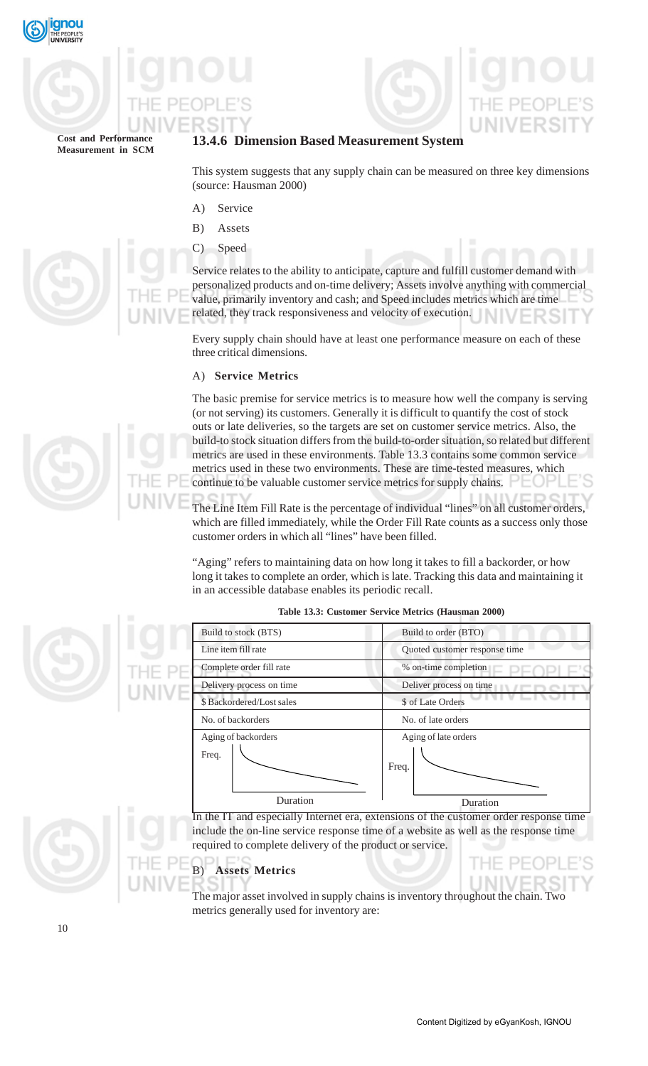



## **13.4.6 Dimension Based Measurement System**

This system suggests that any supply chain can be measured on three key dimensions (source: Hausman 2000)

- A) Service
- B) Assets
- C) Speed

Service relates to the ability to anticipate, capture and fulfill customer demand with personalized products and on-time delivery; Assets involve anything with commercial value, primarily inventory and cash; and Speed includes metrics which are time related, they track responsiveness and velocity of execution.

Every supply chain should have at least one performance measure on each of these three critical dimensions.

### A) **Service Metrics**

The basic premise for service metrics is to measure how well the company is serving (or not serving) its customers. Generally it is difficult to quantify the cost of stock outs or late deliveries, so the targets are set on customer service metrics. Also, the build-to stock situation differs from the build-to-order situation, so related but different metrics are used in these environments. Table 13.3 contains some common service metrics used in these two environments. These are time-tested measures, which continue to be valuable customer service metrics for supply chains.

The Line Item Fill Rate is the percentage of individual "lines" on all customer orders, which are filled immediately, while the Order Fill Rate counts as a success only those customer orders in which all "lines" have been filled.

"Aging" refers to maintaining data on how long it takes to fill a backorder, or how long it takes to complete an order, which is late. Tracking this data and maintaining it in an accessible database enables its periodic recall.



### **Table 13.3: Customer Service Metrics (Hausman 2000)**

The major asset involved in supply chains is inventory throughout the chain. Two metrics generally used for inventory are:



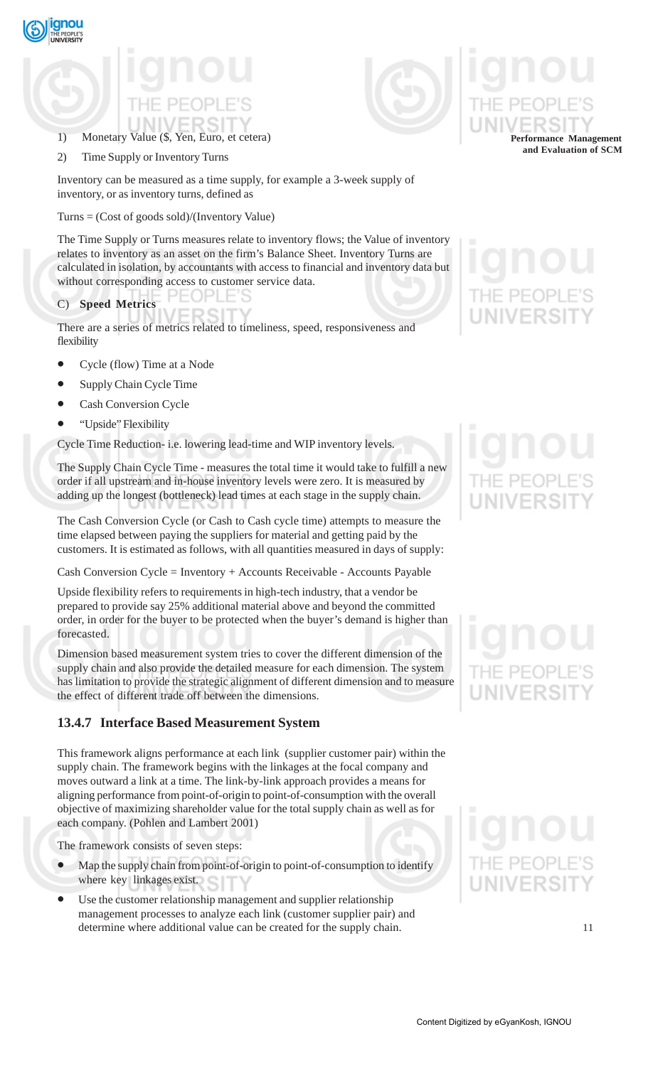

## 1) Monetary Value (\$, Yen, Euro, et cetera)

2) Time Supply or Inventory Turns

Inventory can be measured as a time supply, for example a 3-week supply of inventory, or as inventory turns, defined as

Turns = (Cost of goods sold)/(Inventory Value)

The Time Supply or Turns measures relate to inventory flows; the Value of inventory relates to inventory as an asset on the firm's Balance Sheet. Inventory Turns are calculated in isolation, by accountants with access to financial and inventory data but without corresponding access to customer service data.

C) **Speed Metrics**

There are a series of metrics related to timeliness, speed, responsiveness and flexibility

- Cycle (flow) Time at a Node
- Supply Chain Cycle Time
- Cash Conversion Cycle
- "Upside" Flexibility

Cycle Time Reduction- i.e. lowering lead-time and WIP inventory levels.

The Supply Chain Cycle Time - measures the total time it would take to fulfill a new order if all upstream and in-house inventory levels were zero. It is measured by adding up the longest (bottleneck) lead times at each stage in the supply chain.

The Cash Conversion Cycle (or Cash to Cash cycle time) attempts to measure the time elapsed between paying the suppliers for material and getting paid by the customers. It is estimated as follows, with all quantities measured in days of supply:

Cash Conversion Cycle = Inventory + Accounts Receivable - Accounts Payable

Upside flexibility refers to requirements in high-tech industry, that a vendor be prepared to provide say 25% additional material above and beyond the committed order, in order for the buyer to be protected when the buyer's demand is higher than forecasted.

Dimension based measurement system tries to cover the different dimension of the supply chain and also provide the detailed measure for each dimension. The system has limitation to provide the strategic alignment of different dimension and to measure the effect of different trade off between the dimensions.

## **13.4.7 Interface Based Measurement System**

This framework aligns performance at each link (supplier customer pair) within the supply chain. The framework begins with the linkages at the focal company and moves outward a link at a time. The link-by-link approach provides a means for aligning performance from point-of-origin to point-of-consumption with the overall objective of maximizing shareholder value for the total supply chain as well as for each company. (Pohlen and Lambert 2001)

The framework consists of seven steps:

- Map the supply chain from point-of-origin to point-of-consumption to identify where key linkages exist.
- Use the customer relationship management and supplier relationship management processes to analyze each link (customer supplier pair) and determine where additional value can be created for the supply chain.



**Performance Management and Evaluation of SCM**

11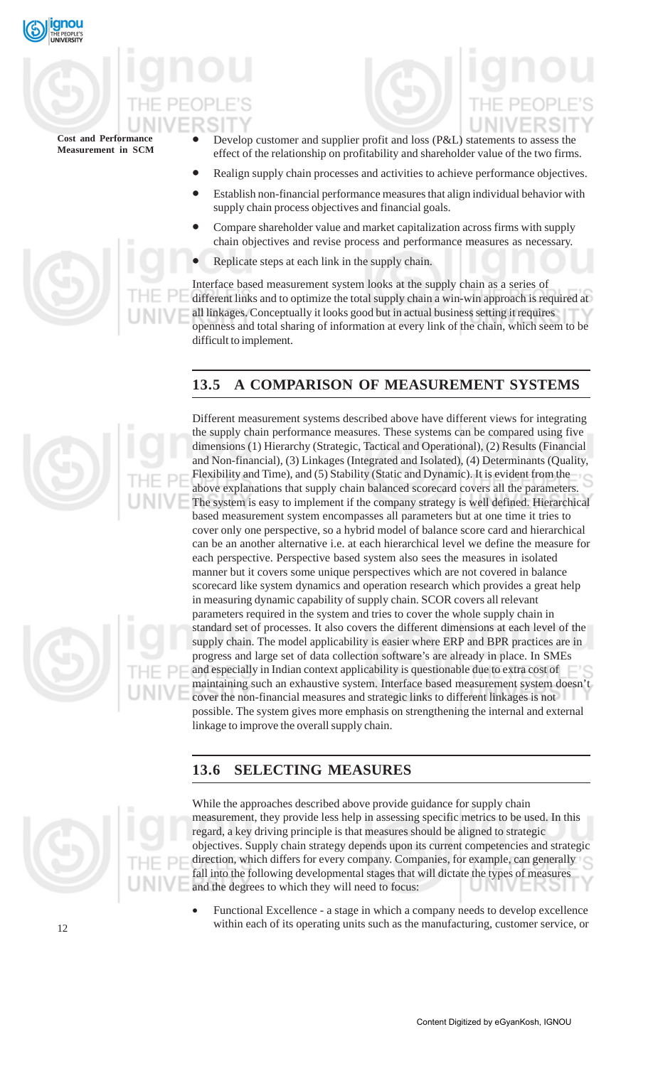

- Develop customer and supplier profit and loss (P&L) statements to assess the effect of the relationship on profitability and shareholder value of the two firms.
- Realign supply chain processes and activities to achieve performance objectives.
- Establish non-financial performance measures that align individual behavior with supply chain process objectives and financial goals.
- Compare shareholder value and market capitalization across firms with supply chain objectives and revise process and performance measures as necessary.
- Replicate steps at each link in the supply chain.

Interface based measurement system looks at the supply chain as a series of different links and to optimize the total supply chain a win-win approach is required at all linkages. Conceptually it looks good but in actual business setting it requires openness and total sharing of information at every link of the chain, which seem to be difficult to implement.

## **13.5 A COMPARISON OF MEASUREMENT SYSTEMS**





Different measurement systems described above have different views for integrating the supply chain performance measures. These systems can be compared using five dimensions (1) Hierarchy (Strategic, Tactical and Operational), (2) Results (Financial and Non-financial), (3) Linkages (Integrated and Isolated), (4) Determinants (Quality, Flexibility and Time), and (5) Stability (Static and Dynamic). It is evident from the above explanations that supply chain balanced scorecard covers all the parameters. The system is easy to implement if the company strategy is well defined. Hierarchical based measurement system encompasses all parameters but at one time it tries to cover only one perspective, so a hybrid model of balance score card and hierarchical can be an another alternative i.e. at each hierarchical level we define the measure for each perspective. Perspective based system also sees the measures in isolated manner but it covers some unique perspectives which are not covered in balance scorecard like system dynamics and operation research which provides a great help in measuring dynamic capability of supply chain. SCOR covers all relevant parameters required in the system and tries to cover the whole supply chain in standard set of processes. It also covers the different dimensions at each level of the supply chain. The model applicability is easier where ERP and BPR practices are in progress and large set of data collection software's are already in place. In SMEs and especially in Indian context applicability is questionable due to extra cost of maintaining such an exhaustive system. Interface based measurement system doesn't cover the non-financial measures and strategic links to different linkages is not possible. The system gives more emphasis on strengthening the internal and external linkage to improve the overall supply chain.

## **13.6 SELECTING MEASURES**



While the approaches described above provide guidance for supply chain measurement, they provide less help in assessing specific metrics to be used. In this regard, a key driving principle is that measures should be aligned to strategic objectives. Supply chain strategy depends upon its current competencies and strategic direction, which differs for every company. Companies, for example, can generally fall into the following developmental stages that will dictate the types of measures and the degrees to which they will need to focus:

• Functional Excellence - a stage in which a company needs to develop excellence within each of its operating units such as the manufacturing, customer service, or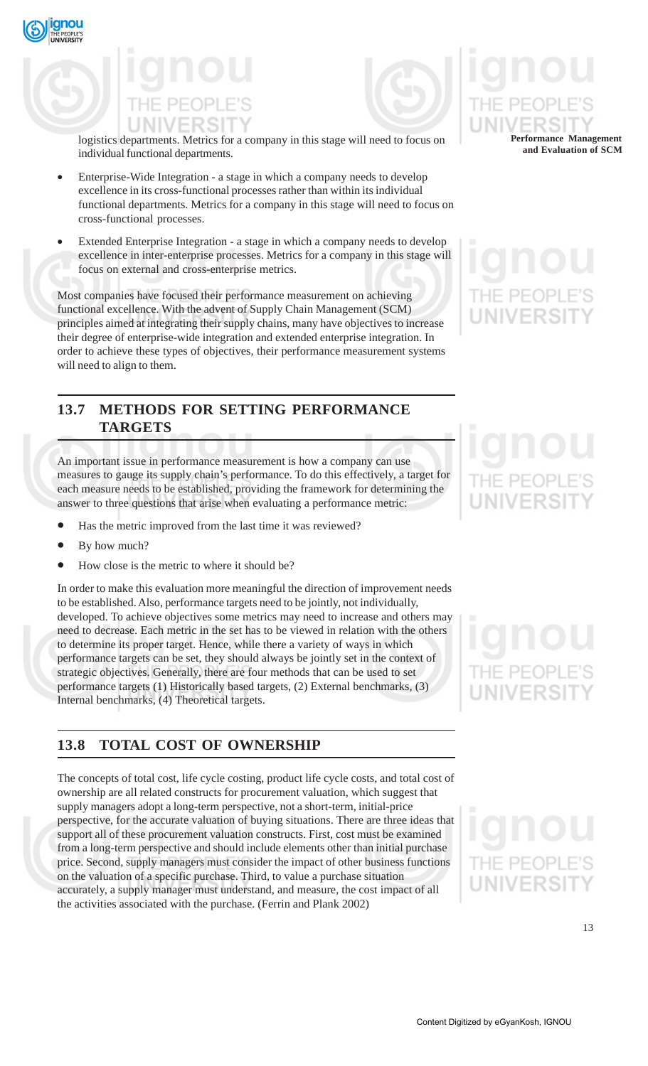



logistics departments. Metrics for a company in this stage will need to focus on individual functional departments.

- Enterprise-Wide Integration a stage in which a company needs to develop excellence in its cross-functional processes rather than within its individual functional departments. Metrics for a company in this stage will need to focus on cross-functional processes.
- Extended Enterprise Integration a stage in which a company needs to develop excellence in inter-enterprise processes. Metrics for a company in this stage will focus on external and cross-enterprise metrics.

Most companies have focused their performance measurement on achieving functional excellence. With the advent of Supply Chain Management (SCM) principles aimed at integrating their supply chains, many have objectives to increase their degree of enterprise-wide integration and extended enterprise integration. In order to achieve these types of objectives, their performance measurement systems will need to align to them.

## **13.7 METHODS FOR SETTING PERFORMANCE TARGETS**

An important issue in performance measurement is how a company can use measures to gauge its supply chain's performance. To do this effectively, a target for each measure needs to be established, providing the framework for determining the answer to three questions that arise when evaluating a performance metric:

- Has the metric improved from the last time it was reviewed?
- By how much?
- How close is the metric to where it should be?

In order to make this evaluation more meaningful the direction of improvement needs to be established. Also, performance targets need to be jointly, not individually, developed. To achieve objectives some metrics may need to increase and others may need to decrease. Each metric in the set has to be viewed in relation with the others to determine its proper target. Hence, while there a variety of ways in which performance targets can be set, they should always be jointly set in the context of strategic objectives. Generally, there are four methods that can be used to set performance targets (1) Historically based targets, (2) External benchmarks, (3) Internal benchmarks, (4) Theoretical targets.

## **13.8 TOTAL COST OF OWNERSHIP**

The concepts of total cost, life cycle costing, product life cycle costs, and total cost of ownership are all related constructs for procurement valuation, which suggest that supply managers adopt a long-term perspective, not a short-term, initial-price perspective, for the accurate valuation of buying situations. There are three ideas that support all of these procurement valuation constructs. First, cost must be examined from a long-term perspective and should include elements other than initial purchase price. Second, supply managers must consider the impact of other business functions on the valuation of a specific purchase. Third, to value a purchase situation accurately, a supply manager must understand, and measure, the cost impact of all the activities associated with the purchase. (Ferrin and Plank 2002)

## **Performance Management and Evaluation of SCM**

## JNIVERSI

## NIVERSI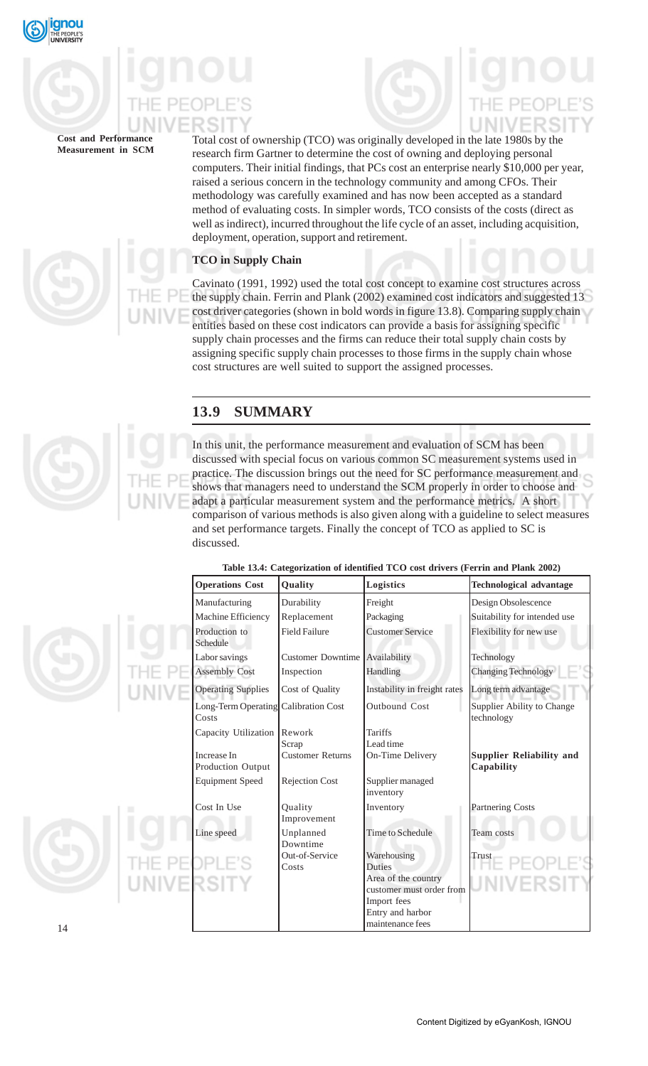

Total cost of ownership (TCO) was originally developed in the late 1980s by the research firm Gartner to determine the cost of owning and deploying personal computers. Their initial findings, that PCs cost an enterprise nearly \$10,000 per year, raised a serious concern in the technology community and among CFOs. Their methodology was carefully examined and has now been accepted as a standard method of evaluating costs. In simpler words, TCO consists of the costs (direct as well as indirect), incurred throughout the life cycle of an asset, including acquisition, deployment, operation, support and retirement.

### **TCO in Supply Chain**

Cavinato (1991, 1992) used the total cost concept to examine cost structures across the supply chain. Ferrin and Plank (2002) examined cost indicators and suggested 13 cost driver categories (shown in bold words in figure 13.8). Comparing supply chain entities based on these cost indicators can provide a basis for assigning specific supply chain processes and the firms can reduce their total supply chain costs by assigning specific supply chain processes to those firms in the supply chain whose cost structures are well suited to support the assigned processes.

## **13.9 SUMMARY**

In this unit, the performance measurement and evaluation of SCM has been discussed with special focus on various common SC measurement systems used in practice. The discussion brings out the need for SC performance measurement and shows that managers need to understand the SCM properly in order to choose and adapt a particular measurement system and the performance metrics. A short comparison of various methods is also given along with a guideline to select measures and set performance targets. Finally the concept of TCO as applied to SC is discussed.



**Table 13.4: Categorization of identified TCO cost drivers (Ferrin and Plank 2002)**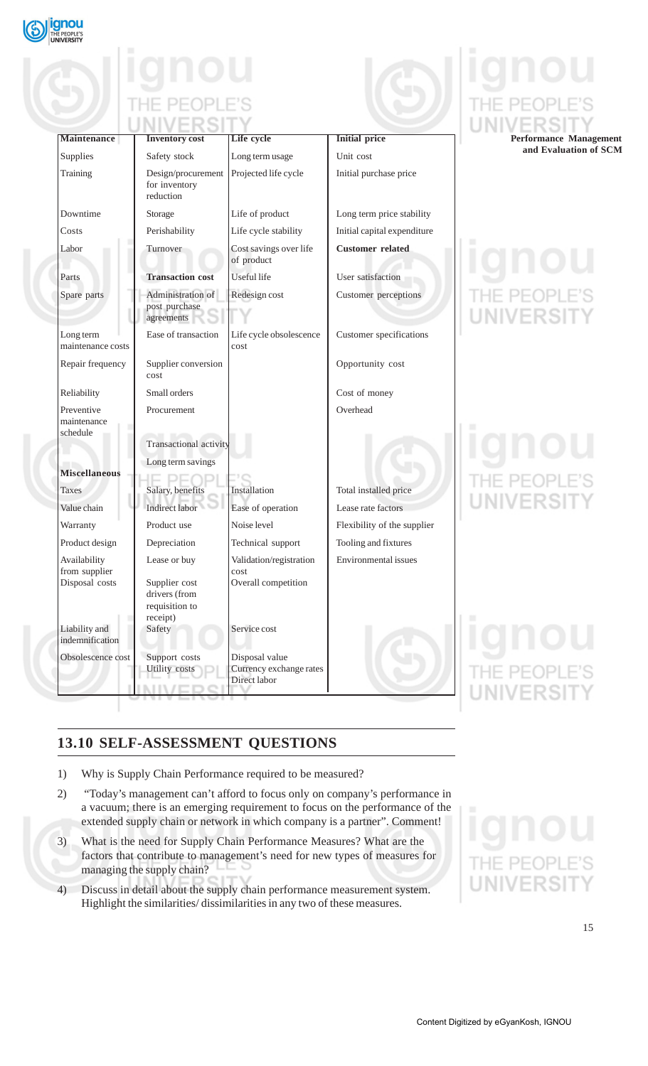

| <b>Maintenance</b>               | <b>Inventory cost</b>                                        | Life cycle                                                | <b>Initial price</b>           | <b>Performance Management</b>    |
|----------------------------------|--------------------------------------------------------------|-----------------------------------------------------------|--------------------------------|----------------------------------|
| Supplies                         | Safety stock                                                 | Long term usage                                           | Unit cost                      | and Evaluation of SCM            |
| Training                         | Design/procurement<br>for inventory<br>reduction             | Projected life cycle                                      | Initial purchase price         |                                  |
| Downtime                         | Storage                                                      | Life of product                                           | Long term price stability      |                                  |
| Costs                            | Perishability                                                | Life cycle stability                                      | Initial capital expenditure    |                                  |
| Labor                            | Turnover                                                     | Cost savings over life<br>of product                      | <b>Customer</b> related        | 0 N O                            |
| Parts                            | <b>Transaction cost</b>                                      | Useful life                                               | User satisfaction              |                                  |
| Spare parts                      | Administration of                                            | Redesign cost                                             | Customer perceptions           | THE PEOPLE'S                     |
|                                  | post purchase<br>agreements                                  |                                                           |                                | UNIVERSIT                        |
| Long term<br>maintenance costs   | Ease of transaction                                          | Life cycle obsolescence<br>cost                           | <b>Customer</b> specifications |                                  |
| Repair frequency                 | Supplier conversion<br>cost                                  |                                                           | Opportunity cost               |                                  |
| Reliability                      | Small orders                                                 |                                                           | Cost of money                  |                                  |
| Preventive<br>maintenance        | Procurement                                                  |                                                           | Overhead                       |                                  |
| schedule                         | Transactional activity                                       |                                                           |                                | gnou                             |
| <b>Miscellaneous</b>             | Long term savings                                            |                                                           |                                |                                  |
| <b>Taxes</b>                     | Salary, benefits                                             | Installation                                              | Total installed price          | THE PEOPLE'S                     |
| Value chain                      | Indirect labor                                               | Ease of operation                                         | Lease rate factors             | UNIVERSIT                        |
|                                  | Product use                                                  | Noise level                                               | Flexibility of the supplier    |                                  |
| Warranty                         |                                                              |                                                           |                                |                                  |
| Product design                   | Depreciation                                                 | Technical support                                         | Tooling and fixtures           |                                  |
| Availability<br>from supplier    | Lease or buy                                                 | Validation/registration<br>cost                           | Environmental issues           |                                  |
| Disposal costs                   | Supplier cost<br>drivers (from<br>requisition to<br>receipt) | Overall competition                                       |                                |                                  |
| Liability and<br>indemnification | Safety                                                       | Service cost                                              |                                | anou                             |
| Obsolescence cost                | Support costs<br>Utility costs                               | Disposal value<br>Currency exchange rates<br>Direct labor |                                | <b>IE PEOPLE'S</b><br>UNIVERSITY |
|                                  |                                                              |                                                           |                                |                                  |

## **13.10 SELF-ASSESSMENT QUESTIONS**

- 1) Why is Supply Chain Performance required to be measured?
- 2) "Today's management can't afford to focus only on company's performance in a vacuum; there is an emerging requirement to focus on the performance of the extended supply chain or network in which company is a partner". Comment!
- 3) What is the need for Supply Chain Performance Measures? What are the factors that contribute to management's need for new types of measures for managing the supply chain?
- 4) Discuss in detail about the supply chain performance measurement system. Highlight the similarities/ dissimilarities in any two of these measures.

# UNIV

ΕS  $\sim$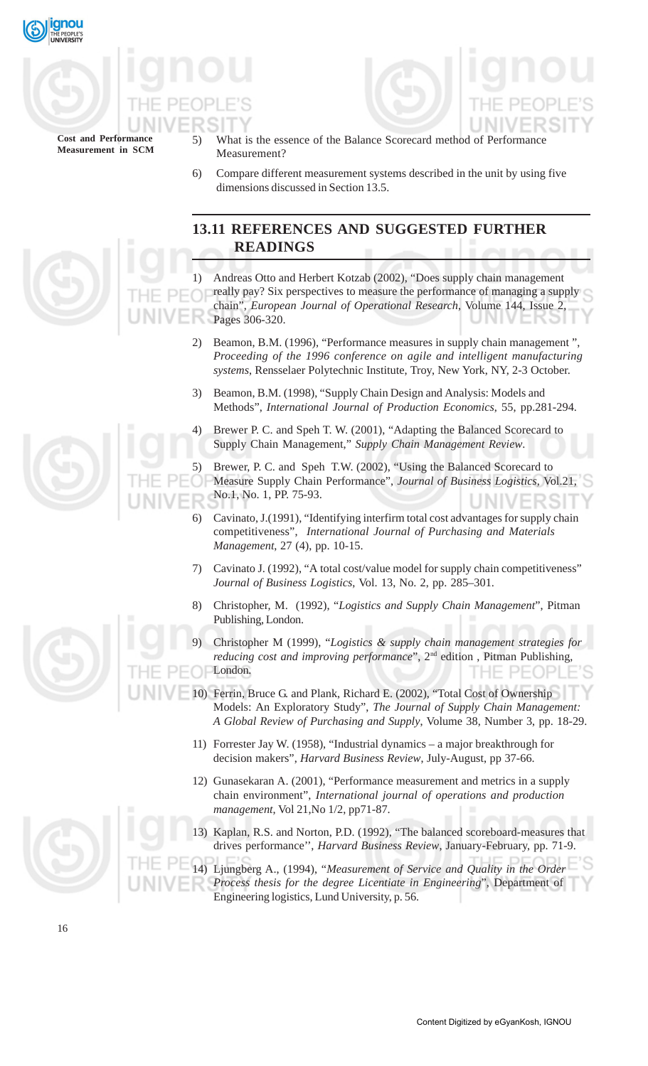



What is the essence of the Balance Scorecard method of Performance Measurement?

6) Compare different measurement systems described in the unit by using five dimensions discussed in Section 13.5.

## **13.11 REFERENCES AND SUGGESTED FURTHER READINGS**

1) Andreas Otto and Herbert Kotzab (2002), "Does supply chain management really pay? Six perspectives to measure the performance of managing a supply chain", *European Journal of Operational Research*, Volume 144, Issue 2, Pages 306-320. 5 J

- 2) Beamon, B.M. (1996), "Performance measures in supply chain management ", *Proceeding of the 1996 conference on agile and intelligent manufacturing systems*, Rensselaer Polytechnic Institute, Troy, New York, NY, 2-3 October.
- 3) Beamon, B.M. (1998), "Supply Chain Design and Analysis: Models and Methods", *International Journal of Production Economics*, 55, pp.281-294.
- 4) Brewer P. C. and Speh T. W. (2001), "Adapting the Balanced Scorecard to Supply Chain Management," *Supply Chain Management Review*.

5) Brewer, P. C. and Speh T.W. (2002), "Using the Balanced Scorecard to Measure Supply Chain Performance", *Journal of Business Logistics*, Vol.21, No.1, No. 1, PP. 75-93.

- 6) Cavinato, J.(1991), "Identifying interfirm total cost advantages for supply chain competitiveness", *International Journal of Purchasing and Materials Management*, 27 (4), pp. 10-15.
- 7) Cavinato J. (1992), "A total cost/value model for supply chain competitiveness" *Journal of Business Logistics*, Vol. 13, No. 2, pp. 285–301.
- 8) Christopher, M. (1992), "*Logistics and Supply Chain Management*", Pitman Publishing, London.
- 9) Christopher M (1999), "*Logistics & supply chain management strategies for reducing cost and improving performance*", 2nd edition , Pitman Publishing, London.
- 10) Ferrin, Bruce G. and Plank, Richard E. (2002), "Total Cost of Ownership Models: An Exploratory Study", *The Journal of Supply Chain Management: A Global Review of Purchasing and Supply*, Volume 38, Number 3, pp. 18-29.
	- 11) Forrester Jay W. (1958), "Industrial dynamics a major breakthrough for decision makers", *Harvard Business Review*, July-August, pp 37-66.
	- 12) Gunasekaran A. (2001), "Performance measurement and metrics in a supply chain environment", *International journal of operations and production management*, Vol 21,No 1/2, pp71-87.
- 13) Kaplan, R.S. and Norton, P.D. (1992), "The balanced scoreboard-measures that drives performance'', *Harvard Business Review*, January-February, pp. 71-9.

14) Ljungberg A., (1994), "*Measurement of Service and Quality in the Order Process thesis for the degree Licentiate in Engineering*", Department of Engineering logistics, Lund University, p. 56.